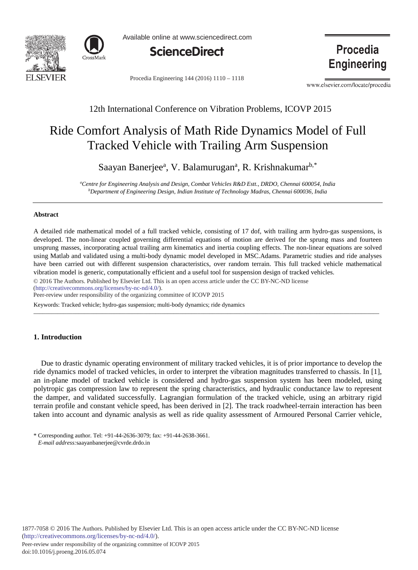



Available online at www.sciencedirect.com



Procedia Engineering 144 (2016) 1110 - 1118

Procedia **Engineering** 

www.elsevier.com/locate/procedia

## 12th International Conference on Vibration Problems, ICOVP 2015

# Ride Comfort Analysis of Math Ride Dynamics Model of Full Tracked Vehicle with Trailing Arm Suspension

Saayan Banerjee<sup>a</sup>, V. Balamurugan<sup>a</sup>, R. Krishnakumar<sup>b,\*</sup>

*a Centre for Engineering Analysis and Design, Combat Vehicles R&D Estt., DRDO, Chennai 600054, India b Department of Engineering Design, Indian Institute of Technology Madras, Chennai 600036, India*

#### **Abstract**

A detailed ride mathematical model of a full tracked vehicle, consisting of 17 dof, with trailing arm hydro-gas suspensions, is developed. The non-linear coupled governing differential equations of motion are derived for the sprung mass and fourteen unsprung masses, incorporating actual trailing arm kinematics and inertia coupling effects. The non-linear equations are solved using Matlab and validated using a multi-body dynamic model developed in MSC.Adams. Parametric studies and ride analyses have been carried out with different suspension characteristics, over random terrain. This full tracked vehicle mathematical vibration model is generic, computationally efficient and a useful tool for suspension design of tracked vehicles.

© 2016 The Authors. Published by Elsevier Ltd. © 2016 The Authors. Published by Elsevier Ltd. This is an open access article under the CC BY-NC-ND license

(http://creativecommons.org/licenses/by-nc-nd/4.0/).

Peer-review under responsibility of the organizing committee of ICOVP 2015

Keywords: Tracked vehicle; hydro-gas suspension; multi-body dynamics; ride dynamics *\_\_\_\_\_\_\_\_\_\_\_\_\_\_\_\_\_\_\_\_\_\_\_\_\_\_\_\_\_\_\_\_\_\_\_\_\_\_\_\_\_\_\_\_\_\_\_\_\_\_\_\_\_\_\_\_\_\_\_\_\_\_\_\_\_\_\_\_\_\_\_\_\_\_\_\_\_\_\_\_\_\_\_\_\_\_\_\_\_\_\_\_\_\_\_\_\_\_\_\_\_\_\_\_\_\_\_\_\_\_\_\_\_\_\_\_*

## **1. Introduction**

Due to drastic dynamic operating environment of military tracked vehicles, it is of prior importance to develop the ride dynamics model of tracked vehicles, in order to interpret the vibration magnitudes transferred to chassis. In [1], an in-plane model of tracked vehicle is considered and hydro-gas suspension system has been modeled, using polytropic gas compression law to represent the spring characteristics, and hydraulic conductance law to represent the damper, and validated successfully. Lagrangian formulation of the tracked vehicle, using an arbitrary rigid terrain profile and constant vehicle speed, has been derived in [2]. The track roadwheel-terrain interaction has been taken into account and dynamic analysis as well as ride quality assessment of Armoured Personal Carrier vehicle,

<sup>\*</sup> Corresponding author. Tel: +91-44-2636-3079; fax: +91-44-2638-3661. *E-mail address:*saayanbanerjee@cvrde.drdo.in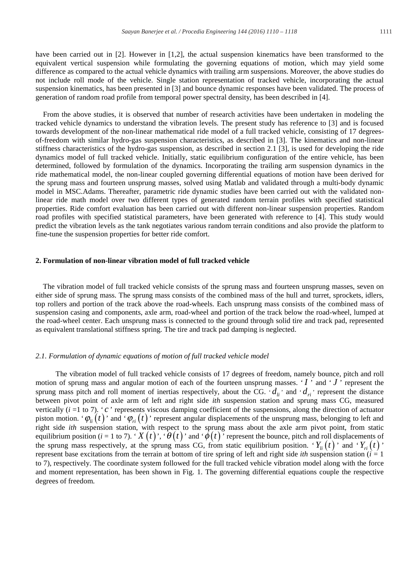have been carried out in [2]. However in [1,2], the actual suspension kinematics have been transformed to the equivalent vertical suspension while formulating the governing equations of motion, which may yield some difference as compared to the actual vehicle dynamics with trailing arm suspensions. Moreover, the above studies do not include roll mode of the vehicle. Single station representation of tracked vehicle, incorporating the actual suspension kinematics, has been presented in [3] and bounce dynamic responses have been validated. The process of generation of random road profile from temporal power spectral density, has been described in [4].

From the above studies, it is observed that number of research activities have been undertaken in modeling the tracked vehicle dynamics to understand the vibration levels. The present study has reference to [3] and is focused towards development of the non-linear mathematical ride model of a full tracked vehicle, consisting of 17 degreesof-freedom with similar hydro-gas suspension characteristics, as described in [3]. The kinematics and non-linear stiffness characteristics of the hydro-gas suspension, as described in section 2.1 [3], is used for developing the ride dynamics model of full tracked vehicle. Initially, static equilibrium configuration of the entire vehicle, has been determined, followed by formulation of the dynamics. Incorporating the trailing arm suspension dynamics in the ride mathematical model, the non-linear coupled governing differential equations of motion have been derived for the sprung mass and fourteen unsprung masses, solved using Matlab and validated through a multi-body dynamic model in MSC.Adams. Thereafter, parametric ride dynamic studies have been carried out with the validated nonlinear ride math model over two different types of generated random terrain profiles with specified statistical properties. Ride comfort evaluation has been carried out with different non-linear suspension properties. Random road profiles with specified statistical parameters, have been generated with reference to [4]. This study would predict the vibration levels as the tank negotiates various random terrain conditions and also provide the platform to fine-tune the suspension properties for better ride comfort.

## **2. Formulation of non-linear vibration model of full tracked vehicle**

The vibration model of full tracked vehicle consists of the sprung mass and fourteen unsprung masses, seven on either side of sprung mass. The sprung mass consists of the combined mass of the hull and turret, sprockets, idlers, top rollers and portion of the track above the road-wheels. Each unsprung mass consists of the combined mass of suspension casing and components, axle arm, road-wheel and portion of the track below the road-wheel, lumped at the road-wheel center. Each unsprung mass is connected to the ground through solid tire and track pad, represented as equivalent translational stiffness spring. The tire and track pad damping is neglected.

#### *2.1. Formulation of dynamic equations of motion of full tracked vehicle model*

The vibration model of full tracked vehicle consists of 17 degrees of freedom, namely bounce, pitch and roll motion of sprung mass and angular motion of each of the fourteen unsprung masses.  $\cdot$  *I*  $\cdot$  and  $\cdot$  *J*  $\cdot$  represent the sprung mass pitch and roll moment of inertias respectively, about the CG.  $d_i$  and  $d_i$  represent the distance between pivot point of axle arm of left and right side *ith* suspension station and sprung mass CG, measured vertically  $(i = 1 to 7)$ . '*c*' represents viscous damping coefficient of the suspensions, along the direction of actuator piston motion. ' $\varphi_{li}(t)$ ' and ' $\varphi_{ri}(t)$ ' represent angular displacements of the unsprung mass, belonging to left and right side *ith* suspension station, with respect to the sprung mass about the axle arm pivot point, from static equilibrium position (*i* = 1 to 7). '  $X(t)$ ', '  $\theta(t)$ ' and '  $\phi(t)$ ' represent the bounce, pitch and roll displacements of the sprung mass respectively, at the sprung mass CG, from static equilibrium position. ' $Y_{li}(t)$ ' and ' $Y_{ri}(t)$ ' represent base excitations from the terrain at bottom of tire spring of left and right side *ith* suspension station  $(i = 1$ to 7), respectively. The coordinate system followed for the full tracked vehicle vibration model along with the force and moment representation, has been shown in Fig. 1. The governing differential equations couple the respective degrees of freedom.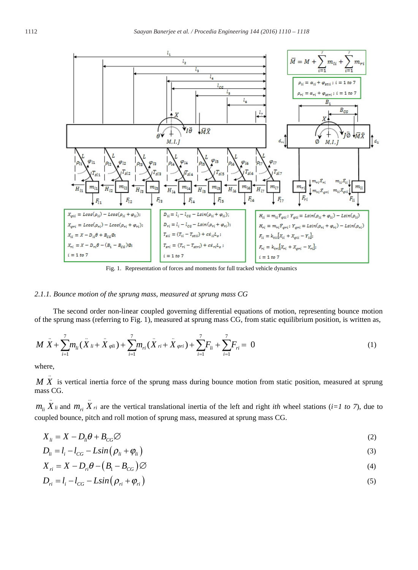

Fig. 1. Representation of forces and moments for full tracked vehicle dynamics

### *2.1.1. Bounce motion of the sprung mass, measured at sprung mass CG*

The second order non-linear coupled governing differential equations of motion, representing bounce motion of the sprung mass (referring to Fig. 1), measured at sprung mass CG, from static equilibrium position, is written as,

$$
M\ddot{X} + \sum_{i=1}^{7} m_{li}(\ddot{X}_{li} + \ddot{X}_{\varphi li}) + \sum_{i=1}^{7} m_{ri}(\ddot{X}_{ri} + \ddot{X}_{\varphi ri}) + \sum_{i=1}^{7} F_{li} + \sum_{i=1}^{7} F_{ri} = 0
$$
\n(1)

where,

..

*M X* is vertical inertia force of the sprung mass during bounce motion from static position, measured at sprung mass CG.

 $m_{li} \times n_{li}$  *i* and  $m_{ri} \times n_{li}$  are the vertical translational inertia of the left and right *ith* wheel stations (*i=1 to 7*), due to coupled bounce, pitch and roll motion of sprung mass, measured at sprung mass CG.

$$
X_{li} = X - D_{li}\theta + B_{CG}\varnothing \tag{2}
$$

$$
D_{li} = l_i - l_{CG} - L\sin\left(\rho_{li} + \varphi_{li}\right) \tag{3}
$$

$$
X_{ri} = X - D_{ri}\theta - (B_1 - B_{CG})\emptyset
$$
\n<sup>(4)</sup>

$$
D_{ri} = l_i - l_{CG} - L\sin(\rho_{ri} + \varphi_{ri})
$$
\n<sup>(5)</sup>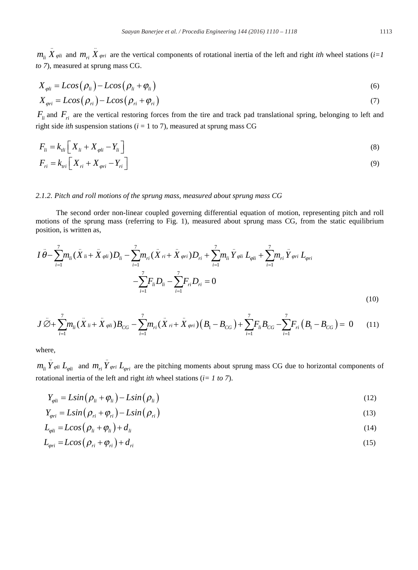$m_{li} \stackrel{\cdot}{X}_{\varphi li}$  and  $m_{ri} \stackrel{\cdot}{X}_{\varphi ri}$  are the vertical components of rotational inertia of the left and right *ith* wheel stations (*i*=1 *to 7*), measured at sprung mass CG.

$$
X_{\varphi li} = L\cos\left(\rho_{li}\right) - L\cos\left(\rho_{li} + \varphi_{li}\right) \tag{6}
$$

$$
X_{\varphi r i} = L \cos \left( \rho_{r i} \right) - L \cos \left( \rho_{r i} + \varphi_{r i} \right) \tag{7}
$$

 $F_{li}$  and  $F_{ri}$  are the vertical restoring forces from the tire and track pad translational spring, belonging to left and right side *ith* suspension stations ( $i = 1$  to 7), measured at sprung mass CG

$$
F_{li} = k_{li} \left[ X_{li} + X_{\varphi li} - Y_{li} \right]
$$
  
\n
$$
F_{ri} = k_{tri} \left[ X_{ri} + X_{\varphi ri} - Y_{ri} \right]
$$
\n(8)

## *2.1.2. Pitch and roll motions of the sprung mass, measured about sprung mass CG*

The second order non-linear coupled governing differential equation of motion, representing pitch and roll motions of the sprung mass (referring to Fig. 1), measured about sprung mass CG, from the static equilibrium position, is written as,

$$
I \ddot{\theta} - \sum_{i=1}^{7} m_{li} (\ddot{X}_{li} + \ddot{X}_{\varphi li}) D_{li} - \sum_{i=1}^{7} m_{ri} (\ddot{X}_{ri} + \ddot{X}_{\varphi ri}) D_{ri} + \sum_{i=1}^{7} m_{li} \ddot{Y}_{\varphi li} L_{\varphi li} + \sum_{i=1}^{7} m_{ri} \ddot{Y}_{\varphi ri} L_{\varphi ri} - \sum_{i=1}^{7} F_{li} D_{li} - \sum_{i=1}^{7} F_{ri} D_{ri} = 0
$$
\n(10)

$$
J\ddot{\emptyset} + \sum_{i=1}^{7} m_{li} (\ddot{X}_{li} + \ddot{X}_{\varphi li}) B_{CG} - \sum_{i=1}^{7} m_{ri} (\ddot{X}_{ri} + \ddot{X}_{\varphi ri}) \left(B_{1} - B_{CG}\right) + \sum_{i=1}^{7} F_{li} B_{CG} - \sum_{i=1}^{7} F_{ri} \left(B_{1} - B_{CG}\right) = 0 \tag{11}
$$

where,

 $m_{li} \ddot{Y}_{qoli} L_{qoli}$  and  $m_{ri} \ddot{Y}_{qori} L_{qori}$  are the pitching moments about sprung mass CG due to horizontal components of rotational inertia of the left and right *ith* wheel stations (*i= 1 to 7*).

$$
Y_{\varphi li} = L\sin\left(\rho_{li} + \varphi_{li}\right) - L\sin\left(\rho_{li}\right) \tag{12}
$$

$$
Y_{\varphi ri} = L\sin\left(\rho_{ri} + \varphi_{ri}\right) - L\sin\left(\rho_{ri}\right) \tag{13}
$$

$$
L_{\varphi li} = L\cos\left(\rho_{li} + \varphi_{li}\right) + d_{li} \tag{14}
$$

$$
L_{\varphi r i} = L \cos \left( \rho_{r i} + \varphi_{r i} \right) + d_{r i} \tag{15}
$$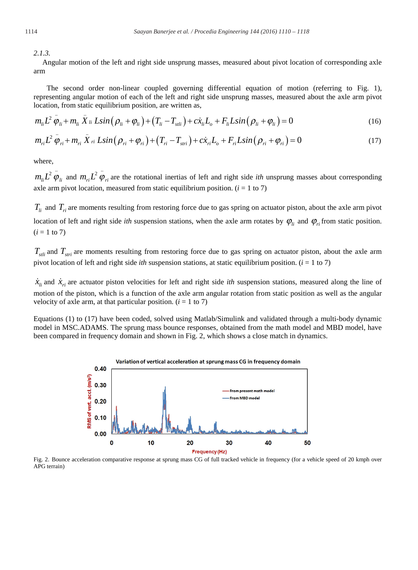*2.1.3.*

Angular motion of the left and right side unsprung masses, measured about pivot location of corresponding axle arm

The second order non-linear coupled governing differential equation of motion (referring to Fig. 1), representing angular motion of each of the left and right side unsprung masses, measured about the axle arm pivot location, from static equilibrium position, are written as,

$$
m_{li}L^2 \ddot{\varphi}_{li} + m_{li} \ddot{X}_{li} L\sin(\rho_{li} + \varphi_{li}) + (T_{li} - T_{sli}) + c\dot{x}_{li}L_o + F_{li}L\sin(\rho_{li} + \varphi_{li}) = 0
$$
\n(16)

$$
m_{ri}L^2 \ddot{\varphi}_{ri} + m_{ri} \ddot{X}_{ri} L\sin(\rho_{ri} + \varphi_{ri}) + (T_{ri} - T_{stri}) + c\dot{x}_{ri}L_o + F_{ri}L\sin(\rho_{ri} + \varphi_{ri}) = 0
$$
\n(17)

where,

 $m_h L^2 \ddot{\varphi}_h$  and  $m_{r i} L^2 \ddot{\varphi}_n$  are the rotational inertias of left and right side *ith* unsprung masses about corresponding axle arm pivot location, measured from static equilibrium position.  $(i = 1 \text{ to } 7)$ 

 $T_{li}$  and  $T_{ri}$  are moments resulting from restoring force due to gas spring on actuator piston, about the axle arm pivot location of left and right side *ith* suspension stations, when the axle arm rotates by  $\varphi$ <sub>*ii*</sub> and  $\varphi$ <sub>*ii*</sub> from static position.  $(i = 1 to 7)$ 

 $T_{\text{stil}}$  and  $T_{\text{stri}}$  are moments resulting from restoring force due to gas spring on actuator piston, about the axle arm pivot location of left and right side *ith* suspension stations, at static equilibrium position. (*i* = 1 to 7)

 $\dot{x}_i$  and  $\dot{x}_r$  are actuator piston velocities for left and right side *ith* suspension stations, measured along the line of motion of the piston, which is a function of the axle arm angular rotation from static position as well as the angular velocity of axle arm, at that particular position.  $(i = 1 \text{ to } 7)$ 

Equations (1) to (17) have been coded, solved using Matlab/Simulink and validated through a multi-body dynamic model in MSC.ADAMS. The sprung mass bounce responses, obtained from the math model and MBD model, have been compared in frequency domain and shown in Fig. 2, which shows a close match in dynamics.



Fig. 2. Bounce acceleration comparative response at sprung mass CG of full tracked vehicle in frequency (for a vehicle speed of 20 kmph over APG terrain)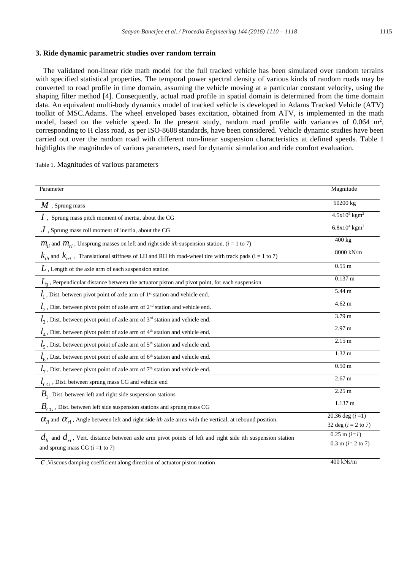### **3. Ride dynamic parametric studies over random terrain**

The validated non-linear ride math model for the full tracked vehicle has been simulated over random terrains with specified statistical properties. The temporal power spectral density of various kinds of random roads may be converted to road profile in time domain, assuming the vehicle moving at a particular constant velocity, using the shaping filter method [4]. Consequently, actual road profile in spatial domain is determined from the time domain data. An equivalent multi-body dynamics model of tracked vehicle is developed in Adams Tracked Vehicle (ATV) toolkit of MSC.Adams. The wheel enveloped bases excitation, obtained from ATV, is implemented in the math model, based on the vehicle speed. In the present study, random road profile with variances of  $0.064 \text{ m}^2$ , corresponding to H class road, as per ISO-8608 standards, have been considered. Vehicle dynamic studies have been carried out over the random road with different non-linear suspension characteristics at defined speeds. Table 1 highlights the magnitudes of various parameters, used for dynamic simulation and ride comfort evaluation.

| Table 1. Magnitudes of various parameters |  |  |
|-------------------------------------------|--|--|
|-------------------------------------------|--|--|

| Parameter                                                                                                                        | Magnitude                   |
|----------------------------------------------------------------------------------------------------------------------------------|-----------------------------|
| $M$ , Sprung mass                                                                                                                | 50200 kg                    |
| $I$ , Sprung mass pitch moment of inertia, about the CG                                                                          | $4.5x10^5$ kgm <sup>2</sup> |
| $J$ , Sprung mass roll moment of inertia, about the CG                                                                           | $6.8x104$ kgm <sup>2</sup>  |
| $m_{li}$ and $m_{ri}$ , Unsprung masses on left and right side <i>ith</i> suspension station. ( <i>i</i> = 1 to 7)               | 400 kg                      |
| $k_{tii}$ and $k_{tri}$ , Translational stiffness of LH and RH ith road-wheel tire with track pads (i = 1 to 7)                  | 8000 kN/m                   |
| $L$ , Length of the axle arm of each suspension station                                                                          | $0.55$ m                    |
| $L_0$ , Perpendicular distance between the actuator piston and pivot point, for each suspension                                  | $0.137 \text{ m}$           |
| $l_1$ , Dist. between pivot point of axle arm of 1 <sup>st</sup> station and vehicle end.                                        | 5.44 m                      |
| $l_2$ , Dist. between pivot point of axle arm of $2nd$ station and vehicle end.                                                  | $4.62 \text{ m}$            |
| $l_3$ , Dist. between pivot point of axle arm of 3 <sup>rd</sup> station and vehicle end.                                        | 3.79 <sub>m</sub>           |
| $l_4$ , Dist. between pivot point of axle arm of 4 <sup>th</sup> station and vehicle end.                                        | 2.97 m                      |
| $l_5$ , Dist. between pivot point of axle arm of 5 <sup>th</sup> station and vehicle end.                                        | 2.15 <sub>m</sub>           |
| $l_6$ , Dist. between pivot point of axle arm of 6 <sup>th</sup> station and vehicle end.                                        | 1.32 <sub>m</sub>           |
| $l_7$ , Dist. between pivot point of axle arm of 7 <sup>th</sup> station and vehicle end.                                        | 0.50 <sub>m</sub>           |
| $l_{CG}$ , Dist. between sprung mass CG and vehicle end                                                                          | $2.67 \text{ m}$            |
| $B1$ , Dist. between left and right side suspension stations                                                                     | 2.25 m                      |
| $B_{CG}$ , Dist. between left side suspension stations and sprung mass CG                                                        | $1.137 \text{ m}$           |
| $\alpha_{ij}$ and $\alpha_{ri}$ , Angle between left and right side <i>ith</i> axle arms with the vertical, at rebound position. | 20.36 deg $(i = 1)$         |
|                                                                                                                                  | 32 deg ( $i = 2$ to 7)      |
| $d_{li}$ and $d_{ri}$ , Vert. distance between axle arm pivot points of left and right side ith suspension station               | $0.25$ m $(i=1)$            |
| and sprung mass CG $(i = 1 to 7)$                                                                                                | $0.3$ m ( $i=2$ to 7)       |
| $C$ , Viscous damping coefficient along direction of actuator piston motion                                                      | $400$ kNs/m                 |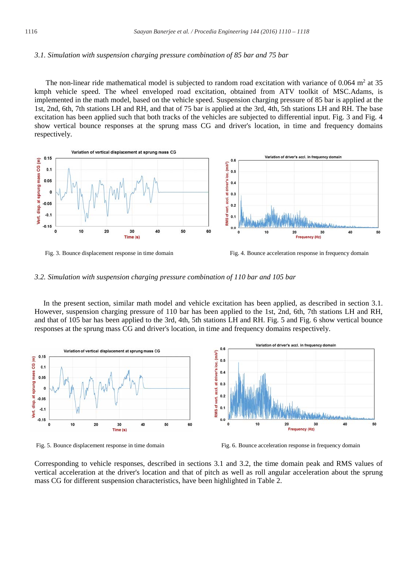#### *3.1. Simulation with suspension charging pressure combination of 85 bar and 75 bar*

The non-linear ride mathematical model is subjected to random road excitation with variance of 0.064 m<sup>2</sup> at 35 kmph vehicle speed. The wheel enveloped road excitation, obtained from ATV toolkit of MSC.Adams, is implemented in the math model, based on the vehicle speed. Suspension charging pressure of 85 bar is applied at the 1st, 2nd, 6th, 7th stations LH and RH, and that of 75 bar is applied at the 3rd, 4th, 5th stations LH and RH. The base excitation has been applied such that both tracks of the vehicles are subjected to differential input. Fig. 3 and Fig. 4 show vertical bounce responses at the sprung mass CG and driver's location, in time and frequency domains respectively.





*3.2. Simulation with suspension charging pressure combination of 110 bar and 105 bar*

In the present section, similar math model and vehicle excitation has been applied, as described in section 3.1. However, suspension charging pressure of 110 bar has been applied to the 1st, 2nd, 6th, 7th stations LH and RH, and that of 105 bar has been applied to the 3rd, 4th, 5th stations LH and RH. Fig. 5 and Fig. 6 show vertical bounce responses at the sprung mass CG and driver's location, in time and frequency domains respectively.



Fig. 5. Bounce displacement response in time domain Fig. 6. Bounce acceleration response in frequency domain

Corresponding to vehicle responses, described in sections 3.1 and 3.2, the time domain peak and RMS values of vertical acceleration at the driver's location and that of pitch as well as roll angular acceleration about the sprung mass CG for different suspension characteristics, have been highlighted in Table 2.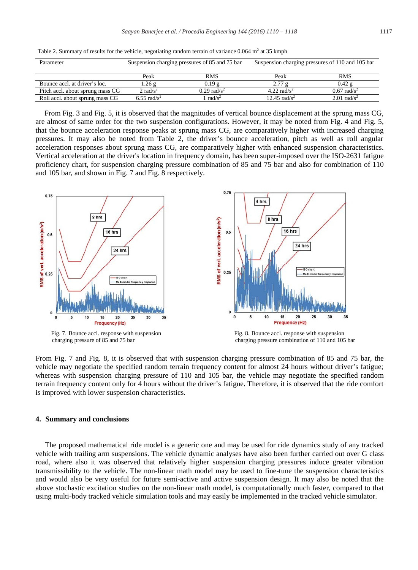|  |  | Table 2. Summary of results for the vehicle, negotiating random terrain of variance $0.064$ m <sup>2</sup> at 35 kmph |  |
|--|--|-----------------------------------------------------------------------------------------------------------------------|--|
|--|--|-----------------------------------------------------------------------------------------------------------------------|--|

| Parameter                        | Suspension charging pressures of 85 and 75 bar |                           | Suspension charging pressures of 110 and 105 bar |                           |
|----------------------------------|------------------------------------------------|---------------------------|--------------------------------------------------|---------------------------|
|                                  | Peak                                           | <b>RMS</b>                | Peak                                             | <b>RMS</b>                |
| Bounce accl. at driver's loc.    | 1.26 g                                         | 0.19g                     | 2.77 g                                           | $0.42$ g                  |
| Pitch accl. about sprung mass CG | 2 rad/ $s^2$                                   | $0.29$ rad/s <sup>2</sup> | 4.22 $\text{rad/s}^2$                            | $0.67$ rad/s <sup>2</sup> |
| Roll accl. about sprung mass CG  | $6.55$ rad/s <sup>2</sup>                      | rad/ $s^2$                | 12.45 $\text{rad/s}^2$                           | $2.01$ rad/s <sup>2</sup> |

From Fig. 3 and Fig. 5, it is observed that the magnitudes of vertical bounce displacement at the sprung mass CG, are almost of same order for the two suspension configurations. However, it may be noted from Fig. 4 and Fig. 5, that the bounce acceleration response peaks at sprung mass CG, are comparatively higher with increased charging pressures. It may also be noted from Table 2, the driver's bounce acceleration, pitch as well as roll angular acceleration responses about sprung mass CG, are comparatively higher with enhanced suspension characteristics. Vertical acceleration at the driver's location in frequency domain, has been super-imposed over the ISO-2631 fatigue proficiency chart, for suspension charging pressure combination of 85 and 75 bar and also for combination of 110 and 105 bar, and shown in Fig. 7 and Fig. 8 respectively.



From Fig. 7 and Fig. 8, it is observed that with suspension charging pressure combination of 85 and 75 bar, the vehicle may negotiate the specified random terrain frequency content for almost 24 hours without driver's fatigue; whereas with suspension charging pressure of 110 and 105 bar, the vehicle may negotiate the specified random terrain frequency content only for 4 hours without the driver's fatigue. Therefore, it is observed that the ride comfort is improved with lower suspension characteristics.

#### **4. Summary and conclusions**

The proposed mathematical ride model is a generic one and may be used for ride dynamics study of any tracked vehicle with trailing arm suspensions. The vehicle dynamic analyses have also been further carried out over G class road, where also it was observed that relatively higher suspension charging pressures induce greater vibration transmissibility to the vehicle. The non-linear math model may be used to fine-tune the suspension characteristics and would also be very useful for future semi-active and active suspension design. It may also be noted that the above stochastic excitation studies on the non-linear math model, is computationally much faster, compared to that using multi-body tracked vehicle simulation tools and may easily be implemented in the tracked vehicle simulator.